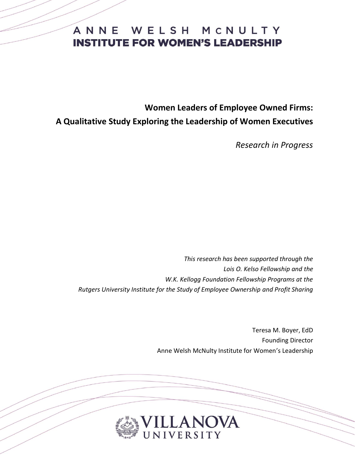**Women Leaders of Employee Owned Firms: A Qualitative Study Exploring the Leadership of Women Executives**

*Research in Progress*

*This research has been supported through the Lois O. Kelso Fellowship and the W.K. Kellogg Foundation Fellowship Programs at the Rutgers University Institute for the Study of Employee Ownership and Profit Sharing*

> Teresa M. Boyer, EdD Founding Director Anne Welsh McNulty Institute for Women's Leadership

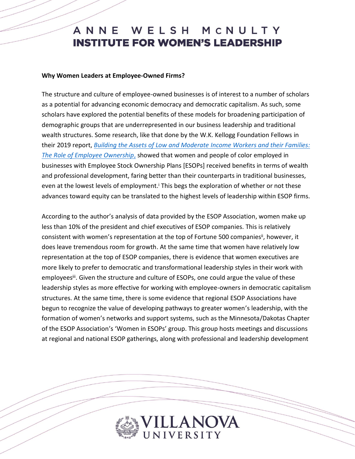#### **Why Women Leaders at Employee-Owned Firms?**

The structure and culture of employee-owned businesses is of interest to a number of scholars as a potential for advancing economic democracy and democratic capitalism. As such, some scholars have explored the potential benefits of these models for broadening participation of demographic groups that are underrepresented in our business leadership and traditional wealth structures. Some research, like that done by the W.K. Kellogg Foundation Fellows in their 2019 report, *[Building the Assets of Low and Moderate](https://smlr.rutgers.edu/sites/default/files/rutgerskelloggreport_april2019.pdf) Income Workers and their Families: [The Role of Employee Ownership](https://smlr.rutgers.edu/sites/default/files/rutgerskelloggreport_april2019.pdf)*, showed that women and people of color employed in businesses with Employee Stock Ownership Plans [ESOPs] received benefits in terms of wealth and professional development, faring better than their counterparts in traditional businesses, even at the lowest levels of employment.<sup>*i*</sup> This begs the exploration of whether or not these advances toward equity can be translated to the highest levels of leadership within ESOP firms.

According to the author's analysis of data provided by the ESOP Association, women make up less than 10% of the president and chief executives of ESOP companies. This is relatively consistent with women's representation at the top of Fortune 500 companies<sup>ii</sup>, however, it does leave tremendous room for growth. At the same time that women have relatively low representation at the top of ESOP companies, there is evidence that women executives are more likely to prefer to democratic and transformational leadership styles in their work with employees<sup>iii</sup>. Given the structure and culture of ESOPs, one could argue the value of these leadership styles as more effective for working with employee-owners in democratic capitalism structures. At the same time, there is some evidence that regional ESOP Associations have begun to recognize the value of developing pathways to greater women's leadership, with the formation of women's networks and support systems, such as the Minnesota/Dakotas Chapter of the ESOP Association's 'Women in ESOPs' group. This group hosts meetings and discussions at regional and national ESOP gatherings, along with professional and leadership development

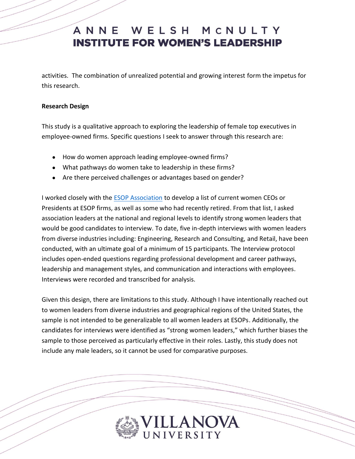activities. The combination of unrealized potential and growing interest form the impetus for this research.

### **Research Design**

This study is a qualitative approach to exploring the leadership of female top executives in employee-owned firms. Specific questions I seek to answer through this research are:

- How do women approach leading employee-owned firms?
- What pathways do women take to leadership in these firms?
- Are there perceived challenges or advantages based on gender?

I worked closely with the [ESOP Association](https://esopassociationblog.org/about-the-esop-association/) to develop a list of current women CEOs or Presidents at ESOP firms, as well as some who had recently retired. From that list, I asked association leaders at the national and regional levels to identify strong women leaders that would be good candidates to interview. To date, five in-depth interviews with women leaders from diverse industries including: Engineering, Research and Consulting, and Retail, have been conducted, with an ultimate goal of a minimum of 15 participants. The Interview protocol includes open-ended questions regarding professional development and career pathways, leadership and management styles, and communication and interactions with employees. Interviews were recorded and transcribed for analysis.

Given this design, there are limitations to this study. Although I have intentionally reached out to women leaders from diverse industries and geographical regions of the United States, the sample is not intended to be generalizable to all women leaders at ESOPs. Additionally, the candidates for interviews were identified as "strong women leaders," which further biases the sample to those perceived as particularly effective in their roles. Lastly, this study does not include any male leaders, so it cannot be used for comparative purposes.

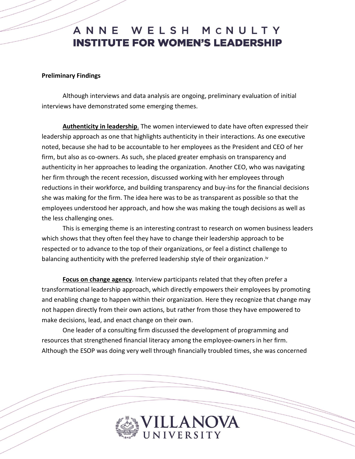#### **Preliminary Findings**

Although interviews and data analysis are ongoing, preliminary evaluation of initial interviews have demonstrated some emerging themes.

**Authenticity in leadership**. The women interviewed to date have often expressed their leadership approach as one that highlights authenticity in their interactions. As one executive noted, because she had to be accountable to her employees as the President and CEO of her firm, but also as co-owners. As such, she placed greater emphasis on transparency and authenticity in her approaches to leading the organization. Another CEO, who was navigating her firm through the recent recession, discussed working with her employees through reductions in their workforce, and building transparency and buy-ins for the financial decisions she was making for the firm. The idea here was to be as transparent as possible so that the employees understood her approach, and how she was making the tough decisions as well as the less challenging ones.

This is emerging theme is an interesting contrast to research on women business leaders which shows that they often feel they have to change their leadership approach to be respected or to advance to the top of their organizations, or feel a distinct challenge to balancing authenticity with the preferred leadership style of their organization.<sup>iv</sup>

**Focus on change agency**. Interview participants related that they often prefer a transformational leadership approach, which directly empowers their employees by promoting and enabling change to happen within their organization. Here they recognize that change may not happen directly from their own actions, but rather from those they have empowered to make decisions, lead, and enact change on their own.

One leader of a consulting firm discussed the development of programming and resources that strengthened financial literacy among the employee-owners in her firm. Although the ESOP was doing very well through financially troubled times, she was concerned

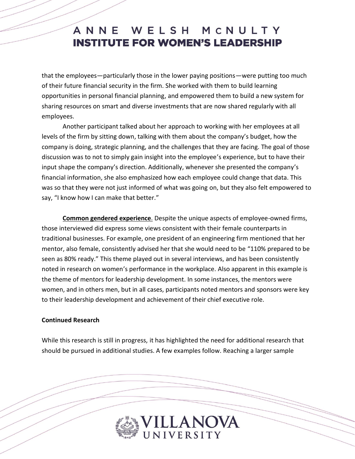that the employees—particularly those in the lower paying positions—were putting too much of their future financial security in the firm. She worked with them to build learning opportunities in personal financial planning, and empowered them to build a new system for sharing resources on smart and diverse investments that are now shared regularly with all employees.

Another participant talked about her approach to working with her employees at all levels of the firm by sitting down, talking with them about the company's budget, how the company is doing, strategic planning, and the challenges that they are facing. The goal of those discussion was to not to simply gain insight into the employee's experience, but to have their input shape the company's direction. Additionally, whenever she presented the company's financial information, she also emphasized how each employee could change that data. This was so that they were not just informed of what was going on, but they also felt empowered to say, "I know how I can make that better."

**Common gendered experience**. Despite the unique aspects of employee-owned firms, those interviewed did express some views consistent with their female counterparts in traditional businesses. For example, one president of an engineering firm mentioned that her mentor, also female, consistently advised her that she would need to be "110% prepared to be seen as 80% ready." This theme played out in several interviews, and has been consistently noted in research on women's performance in the workplace. Also apparent in this example is the theme of mentors for leadership development. In some instances, the mentors were women, and in others men, but in all cases, participants noted mentors and sponsors were key to their leadership development and achievement of their chief executive role.

#### **Continued Research**

While this research is still in progress, it has highlighted the need for additional research that should be pursued in additional studies. A few examples follow. Reaching a larger sample

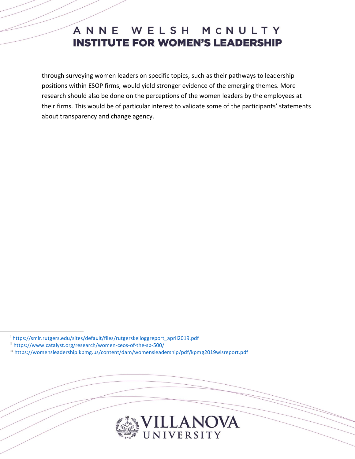through surveying women leaders on specific topics, such as their pathways to leadership positions within ESOP firms, would yield stronger evidence of the emerging themes. More research should also be done on the perceptions of the women leaders by the employees at their firms. This would be of particular interest to validate some of the participants' statements about transparency and change agency.

 $\overline{a}$ 



i [https://smlr.rutgers.edu/sites/default/files/rutgerskelloggreport\\_april2019.pdf](https://smlr.rutgers.edu/sites/default/files/rutgerskelloggreport_april2019.pdf)

ii <https://www.catalyst.org/research/women-ceos-of-the-sp-500/>

iii <https://womensleadership.kpmg.us/content/dam/womensleadership/pdf/kpmg2019wlsreport.pdf>